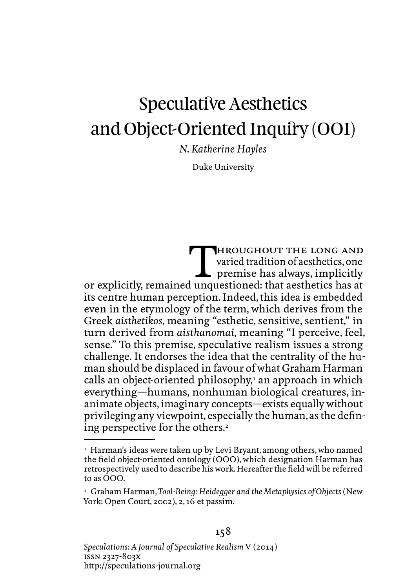# Speculative Aesthetics and Object-Oriented Inquiry (OOI)

*N. Katherine Hayles*

Duke University

THROUGHOUT THE LONG AND<br>varied tradition of aesthetics, one<br>premise has always, implicitly<br>lunguestioned: that aesthetics has at varied tradition of aesthetics, one premise has always, implicitly or explicitly, remained unquestioned: that aesthetics has at its centre human perception. Indeed, this idea is embedded even in the etymology of the term, which derives from the Greek *aisthetikos*, meaning "esthetic, sensitive, sentient," in turn derived from *aisthanomai*, meaning "I perceive, feel, sense." To this premise, speculative realism issues a strong challenge. It endorses the idea that the centrality of the human should be displaced in favour of what Graham Harman calls an object-oriented philosophy,<sup>1</sup> an approach in which everything—humans, nonhuman biological creatures, inanimate objects, imaginary concepts—exists equally without privileging any viewpoint, especially the human, as the defining perspective for the others.<sup>2</sup>

 $^{\rm ^{1}}$  Harman's ideas were taken up by Levi Bryant, among others, who named the field object-oriented ontology (OOO), which designation Harman has retrospectively used to describe his work. Hereafter the field will be referred to as OOO.

<sup>2</sup> Graham Harman, *Tool-Being: Heidegger and the Metaphysics of Objects* (New York: Open Court, 2002), 2, 16 et passim.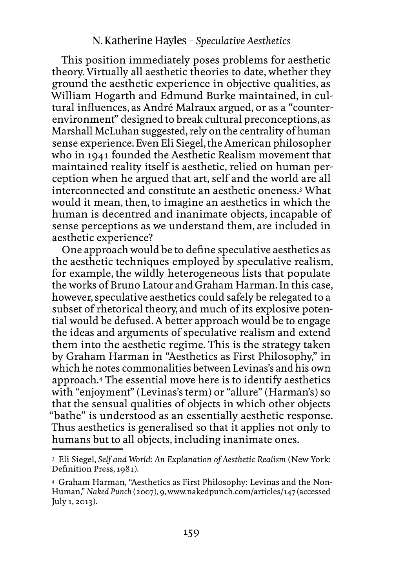This position immediately poses problems for aesthetic theory. Virtually all aesthetic theories to date, whether they ground the aesthetic experience in objective qualities, as William Hogarth and Edmund Burke maintained, in cultural influences, as André Malraux argued, or as a "counterenvironment" designed to break cultural preconceptions, as Marshall McLuhan suggested, rely on the centrality of human sense experience. Even Eli Siegel, the American philosopher who in 1941 founded the Aesthetic Realism movement that maintained reality itself is aesthetic, relied on human perception when he argued that art, self and the world are all interconnected and constitute an aesthetic oneness.3 What would it mean, then, to imagine an aesthetics in which the human is decentred and inanimate objects, incapable of sense perceptions as we understand them, are included in aesthetic experience?

One approach would be to define speculative aesthetics as the aesthetic techniques employed by speculative realism, for example, the wildly heterogeneous lists that populate the works of Bruno Latour and Graham Harman. In this case, however, speculative aesthetics could safely be relegated to a subset of rhetorical theory, and much of its explosive potential would be defused. A better approach would be to engage the ideas and arguments of speculative realism and extend them into the aesthetic regime. This is the strategy taken by Graham Harman in "Aesthetics as First Philosophy," in which he notes commonalities between Levinas's and his own approach.4 The essential move here is to identify aesthetics with "enjoyment" (Levinas's term) or "allure" (Harman's) so that the sensual qualities of objects in which other objects "bathe" is understood as an essentially aesthetic response. Thus aesthetics is generalised so that it applies not only to humans but to all objects, including inanimate ones.

<sup>3</sup> Eli Siegel, *Self and World: An Explanation of Aesthetic Realism* (New York: Definition Press, 1981).

<sup>4</sup> Graham Harman, "Aesthetics as First Philosophy: Levinas and the Non-Human," *Naked Punch* (2007), 9, [www.nakedpunch.com/articles/](www.nakedpunch.com/articles)147 (accessed July 1, 2013).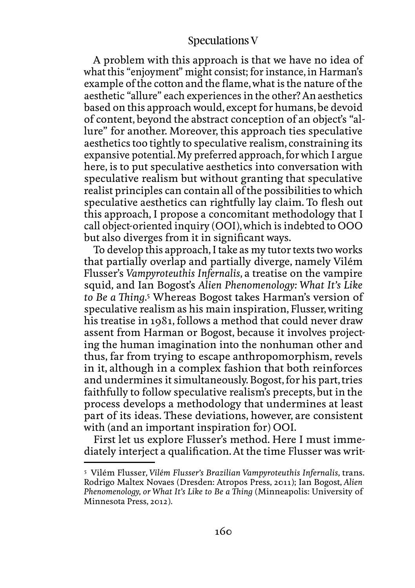A problem with this approach is that we have no idea of what this "enjoyment" might consist; for instance, in Harman's example of the cotton and the flame, what is the nature of the aesthetic "allure" each experiences in the other? An aesthetics based on this approach would, except for humans, be devoid of content, beyond the abstract conception of an object's "allure" for another. Moreover, this approach ties speculative aesthetics too tightly to speculative realism, constraining its expansive potential. My preferred approach, for which I argue here, is to put speculative aesthetics into conversation with speculative realism but without granting that speculative realist principles can contain all of the possibilities to which speculative aesthetics can rightfully lay claim. To flesh out this approach, I propose a concomitant methodology that I call object-oriented inquiry (OOI), which is indebted to OOO but also diverges from it in significant ways.

To develop this approach, I take as my tutor texts two works that partially overlap and partially diverge, namely Vilém Flusser's *Vampyroteuthis Infernalis*, a treatise on the vampire squid*,* and Ian Bogost's *Alien Phenomenology: What It's Like to Be a Thing.*<sup>5</sup> Whereas Bogost takes Harman's version of speculative realism as his main inspiration, Flusser, writing his treatise in 1981, follows a method that could never draw assent from Harman or Bogost, because it involves projecting the human imagination into the nonhuman other and thus, far from trying to escape anthropomorphism, revels in it, although in a complex fashion that both reinforces and undermines it simultaneously. Bogost, for his part, tries faithfully to follow speculative realism's precepts, but in the process develops a methodology that undermines at least part of its ideas. These deviations, however, are consistent with (and an important inspiration for) OOI.

First let us explore Flusser's method. Here I must immediately interject a qualification. At the time Flusser was writ-

<sup>5</sup> Vilém Flusser*, Vilém Flusser's Brazilian Vampyroteuthis Infernalis,* trans. Rodrigo Maltex Novaes (Dresden: Atropos Press, 2011); Ian Bogost, *Alien Phenomenology, or What It's Like to Be a Thing* (Minneapolis: University of Minnesota Press, 2012).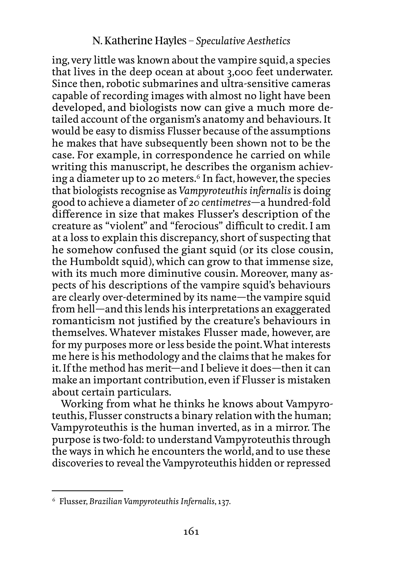ing, very little was known about the vampire squid, a species that lives in the deep ocean at about 3,000 feet underwater. Since then, robotic submarines and ultra-sensitive cameras capable of recording images with almost no light have been developed, and biologists now can give a much more detailed account of the organism's anatomy and behaviours. It would be easy to dismiss Flusser because of the assumptions he makes that have subsequently been shown not to be the case. For example, in correspondence he carried on while writing this manuscript, he describes the organism achieving a diameter up to 20 meters.<sup>6</sup> In fact, however, the species that biologists recognise as *Vampyroteuthis infernalis* is doing good to achieve a diameter of *20 centimetres*—a hundred-fold difference in size that makes Flusser's description of the creature as "violent" and "ferocious" difficult to credit. I am at a loss to explain this discrepancy, short of suspecting that he somehow confused the giant squid (or its close cousin, the Humboldt squid), which can grow to that immense size, with its much more diminutive cousin. Moreover, many aspects of his descriptions of the vampire squid's behaviours are clearly over-determined by its name—the vampire squid from hell—and this lends his interpretations an exaggerated romanticism not justified by the creature's behaviours in themselves. Whatever mistakes Flusser made, however, are for my purposes more or less beside the point. What interests me here is his methodology and the claims that he makes for it. If the method has merit—and I believe it does—then it can make an important contribution, even if Flusser is mistaken about certain particulars.

Working from what he thinks he knows about Vampyroteuthis, Flusser constructs a binary relation with the human; Vampyroteuthis is the human inverted, as in a mirror. The purpose is two-fold: to understand Vampyroteuthis through the ways in which he encounters the world, and to use these discoveries to reveal the Vampyroteuthis hidden or repressed

<sup>6</sup> Flusser, *Brazilian Vampyroteuthis Infernalis*, 137.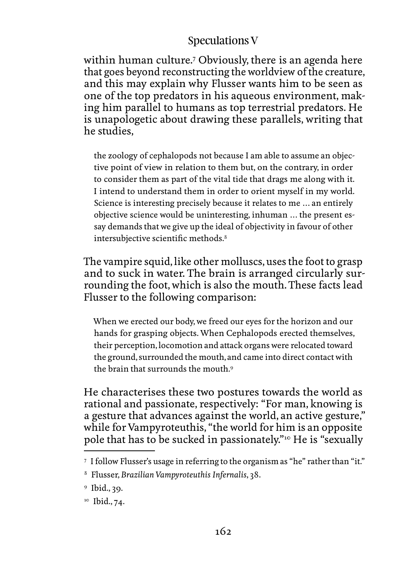within human culture.7 Obviously, there is an agenda here that goes beyond reconstructing the worldview of the creature, and this may explain why Flusser wants him to be seen as one of the top predators in his aqueous environment, making him parallel to humans as top terrestrial predators. He is unapologetic about drawing these parallels, writing that he studies,

the zoology of cephalopods not because I am able to assume an objective point of view in relation to them but, on the contrary, in order to consider them as part of the vital tide that drags me along with it. I intend to understand them in order to orient myself in my world. Science is interesting precisely because it relates to me … an entirely objective science would be uninteresting, inhuman … the present essay demands that we give up the ideal of objectivity in favour of other intersubjective scientific methods.<sup>8</sup>

The vampire squid, like other molluscs, uses the foot to grasp and to suck in water. The brain is arranged circularly surrounding the foot, which is also the mouth. These facts lead Flusser to the following comparison:

When we erected our body, we freed our eyes for the horizon and our hands for grasping objects. When Cephalopods erected themselves, their perception, locomotion and attack organs were relocated toward the ground, surrounded the mouth, and came into direct contact with the brain that surrounds the mouth 9

He characterises these two postures towards the world as rational and passionate, respectively: "For man, knowing is a gesture that advances against the world, an active gesture," while for Vampyroteuthis, "the world for him is an opposite pole that has to be sucked in passionately."10 He is "sexually

<sup>7</sup> I follow Flusser's usage in referring to the organism as "he" rather than "it."

<sup>8</sup> Flusser, *Brazilian Vampyroteuthis Infernalis*, 38.

<sup>9</sup> Ibid., 39.

<sup>&</sup>lt;sup>10</sup> Ibid., 74.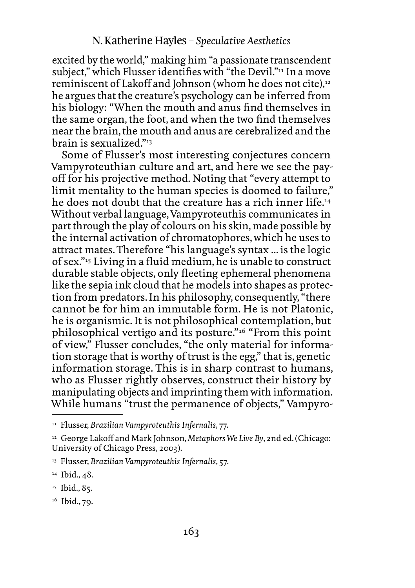excited by the world," making him "a passionate transcendent subject," which Flusser identifies with "the Devil."<sup>11</sup> In a move reminiscent of Lakoff and Johnson (whom he does not cite),<sup>12</sup> he argues that the creature's psychology can be inferred from his biology: "When the mouth and anus find themselves in the same organ, the foot, and when the two find themselves near the brain, the mouth and anus are cerebralized and the brain is sexualized."13

Some of Flusser's most interesting conjectures concern Vampyroteuthian culture and art, and here we see the payoff for his projective method. Noting that "every attempt to limit mentality to the human species is doomed to failure," he does not doubt that the creature has a rich inner life.<sup>14</sup> Without verbal language, Vampyroteuthis communicates in part through the play of colours on his skin, made possible by the internal activation of chromatophores, which he uses to attract mates. Therefore "his language's syntax ... is the logic of sex."15 Living in a fluid medium, he is unable to construct durable stable objects, only fleeting ephemeral phenomena like the sepia ink cloud that he models into shapes as protection from predators. In his philosophy, consequently, "there cannot be for him an immutable form. He is not Platonic, he is organismic. It is not philosophical contemplation, but philosophical vertigo and its posture."16 "From this point of view," Flusser concludes, "the only material for information storage that is worthy of trust is the egg," that is, genetic information storage. This is in sharp contrast to humans, who as Flusser rightly observes, construct their history by manipulating objects and imprinting them with information. While humans "trust the permanence of objects," Vampyro-

<sup>11</sup> Flusser, *Brazilian Vampyroteuthis Infernalis*, 77.

<sup>12</sup> George Lakoff and Mark Johnson, *Metaphors We Live By*, 2nd ed. (Chicago: University of Chicago Press, 2003).

<sup>13</sup> Flusser, *Brazilian Vampyroteuthis Infernalis*, 57.

<sup>&</sup>lt;sup>14</sup> Ibid., 48.

<sup>&</sup>lt;sup>15</sup> Ibid., 85.

<sup>&</sup>lt;sup>16</sup> Ibid., 79.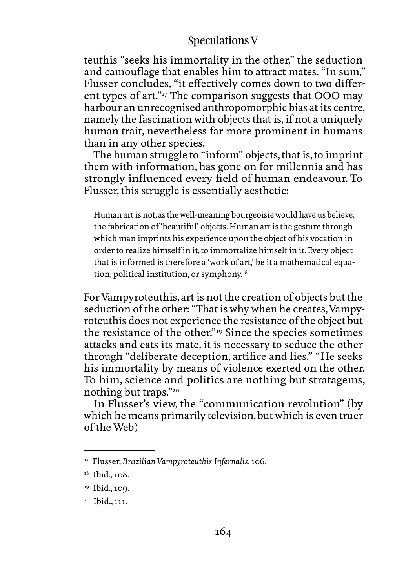teuthis "seeks his immortality in the other," the seduction and camouflage that enables him to attract mates. "In sum," Flusser concludes, "it effectively comes down to two different types of art."17 The comparison suggests that OOO may harbour an unrecognised anthropomorphic bias at its centre, namely the fascination with objects that is, if not a uniquely human trait, nevertheless far more prominent in humans than in any other species.

The human struggle to "inform" objects, that is, to imprint them with information, has gone on for millennia and has strongly influenced every field of human endeavour. To Flusser, this struggle is essentially aesthetic:

Human art is not, as the well-meaning bourgeoisie would have us believe, the fabrication of 'beautiful' objects. Human art is the gesture through which man imprints his experience upon the object of his vocation in order to realize himself in it, to immortalize himself in it. Every object that is informed is therefore a 'work of art,' be it a mathematical equation, political institution, or symphony.18

For Vampyroteuthis, art is not the creation of objects but the seduction of the other: "That is why when he creates, Vampyroteuthis does not experience the resistance of the object but the resistance of the other."19 Since the species sometimes attacks and eats its mate, it is necessary to seduce the other through "deliberate deception, artifice and lies." "He seeks his immortality by means of violence exerted on the other. To him, science and politics are nothing but stratagems, nothing but traps."20

In Flusser's view, the "communication revolution" (by which he means primarily television, but which is even truer of the Web)

<sup>17</sup> Flusser, *Brazilian Vampyroteuthis Infernalis*, 106.

<sup>&</sup>lt;sup>18</sup> Ibid., 108.

<sup>&</sup>lt;sup>19</sup> Ibid., 109.

<sup>20</sup> Ibid., 111.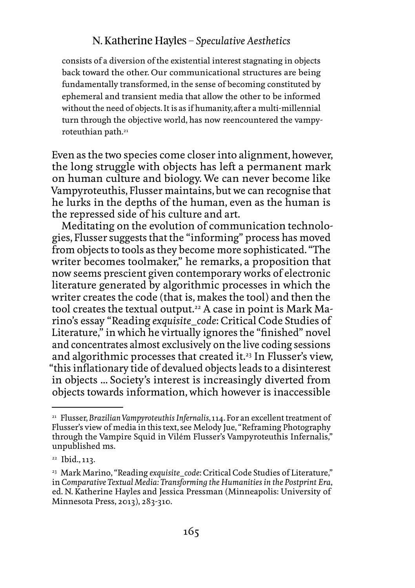consists of a diversion of the existential interest stagnating in objects back toward the other. Our communicational structures are being fundamentally transformed, in the sense of becoming constituted by ephemeral and transient media that allow the other to be informed without the need of objects. It is as if humanity, after a multi-millennial turn through the objective world, has now reencountered the vampyroteuthian path.<sup>21</sup>

Even as the two species come closer into alignment, however, the long struggle with objects has left a permanent mark on human culture and biology. We can never become like Vampyroteuthis, Flusser maintains, but we can recognise that he lurks in the depths of the human, even as the human is the repressed side of his culture and art.

Meditating on the evolution of communication technologies, Flusser suggests that the "informing" process has moved from objects to tools as they become more sophisticated. "The writer becomes toolmaker," he remarks, a proposition that now seems prescient given contemporary works of electronic literature generated by algorithmic processes in which the writer creates the code (that is, makes the tool) and then the tool creates the textual output.<sup>22</sup> A case in point is Mark Marino's essay "Reading *exquisite\_code*: Critical Code Studies of Literature," in which he virtually ignores the "finished" novel and concentrates almost exclusively on the live coding sessions and algorithmic processes that created it.23 In Flusser's view, "this inflationary tide of devalued objects leads to a disinterest in objects ... Society's interest is increasingly diverted from objects towards information, which however is inaccessible

<sup>21</sup> Flusser, *Brazilian Vampyroteuthis Infernalis*, 114. For an excellent treatment of Flusser's view of media in this text, see Melody Jue, "Reframing Photography through the Vampire Squid in Vilém Flusser's Vampyroteuthis Infernalis," unpublished ms.

<sup>22</sup> Ibid., 113.

<sup>&</sup>lt;sup>23</sup> Mark Marino, "Reading *exquisite\_code*: Critical Code Studies of Literature," in *Comparative Textual Media: Transforming the Humanities in the Postprint Era*, ed. N. Katherine Hayles and Jessica Pressman (Minneapolis: University of Minnesota Press, 2013), 283-310.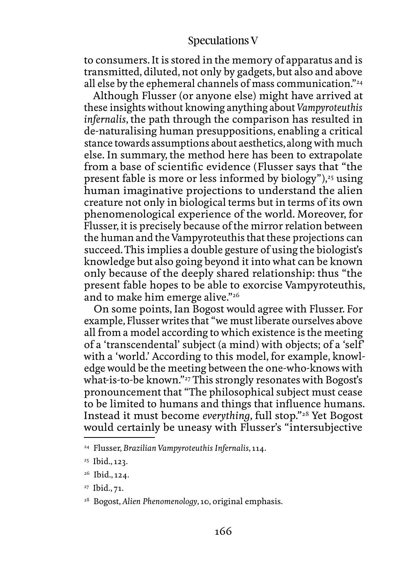to consumers. It is stored in the memory of apparatus and is transmitted, diluted, not only by gadgets, but also and above all else by the ephemeral channels of mass communication."24

Although Flusser (or anyone else) might have arrived at these insights without knowing anything about *Vampyroteuthis infernalis*, the path through the comparison has resulted in de-naturalising human presuppositions, enabling a critical stance towards assumptions about aesthetics, along with much else. In summary, the method here has been to extrapolate from a base of scientific evidence (Flusser says that "the present fable is more or less informed by biology"), $25$  using human imaginative projections to understand the alien creature not only in biological terms but in terms of its own phenomenological experience of the world. Moreover, for Flusser, it is precisely because of the mirror relation between the human and the Vampyroteuthis that these projections can succeed. This implies a double gesture of using the biologist's knowledge but also going beyond it into what can be known only because of the deeply shared relationship: thus "the present fable hopes to be able to exorcise Vampyroteuthis, and to make him emerge alive."<sup>26</sup>

On some points, Ian Bogost would agree with Flusser. For example, Flusser writes that "we must liberate ourselves above all from a model according to which existence is the meeting of a 'transcendental' subject (a mind) with objects; of a 'self' with a 'world.' According to this model, for example, knowledge would be the meeting between the one-who-knows with what-is-to-be known."27 This strongly resonates with Bogost's pronouncement that "The philosophical subject must cease to be limited to humans and things that influence humans. Instead it must become *everything*, full stop."28 Yet Bogost would certainly be uneasy with Flusser's "intersubjective

<sup>24</sup> Flusser, *Brazilian Vampyroteuthis Infernalis*, 114.

<sup>25</sup> Ibid., 123.

<sup>&</sup>lt;sup>26</sup> Ibid., 124.

<sup>27</sup> Ibid., 71.

<sup>28</sup> Bogost, *Alien Phenomenology*, 10, original emphasis.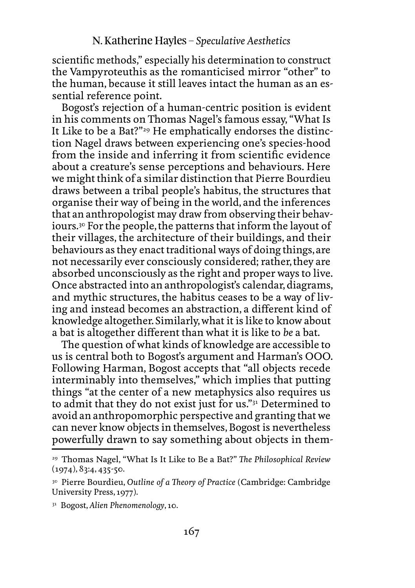scientific methods," especially his determination to construct the Vampyroteuthis as the romanticised mirror "other" to the human, because it still leaves intact the human as an essential reference point.

Bogost's rejection of a human-centric position is evident in his comments on Thomas Nagel's famous essay, "What Is It Like to be a Bat?"29 He emphatically endorses the distinction Nagel draws between experiencing one's species-hood from the inside and inferring it from scientific evidence about a creature's sense perceptions and behaviours. Here we might think of a similar distinction that Pierre Bourdieu draws between a tribal people's habitus, the structures that organise their way of being in the world, and the inferences that an anthropologist may draw from observing their behaviours.30 For the people, the patterns that inform the layout of their villages, the architecture of their buildings, and their behaviours as they enact traditional ways of doing things, are not necessarily ever consciously considered; rather, they are absorbed unconsciously as the right and proper ways to live. Once abstracted into an anthropologist's calendar, diagrams, and mythic structures, the habitus ceases to be a way of living and instead becomes an abstraction, a different kind of knowledge altogether. Similarly, what it is like to know about a bat is altogether different than what it is like to *be* a bat.

The question of what kinds of knowledge are accessible to us is central both to Bogost's argument and Harman's OOO. Following Harman, Bogost accepts that "all objects recede interminably into themselves," which implies that putting things "at the center of a new metaphysics also requires us to admit that they do not exist just for us."31 Determined to avoid an anthropomorphic perspective and granting that we can never know objects in themselves, Bogost is nevertheless powerfully drawn to say something about objects in them-

<sup>29</sup> Thomas Nagel, "What Is It Like to Be a Bat?" *The Philosophical Review*  $(1974), 83:4, 435-50.$ 

<sup>30</sup> Pierre Bourdieu, *Outline of a Theory of Practice* (Cambridge: Cambridge University Press, 1977).

<sup>31</sup> Bogost, *Alien Phenomenology*, 10.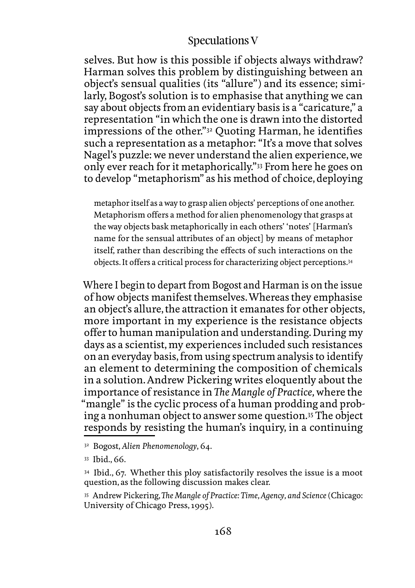selves. But how is this possible if objects always withdraw? Harman solves this problem by distinguishing between an object's sensual qualities (its "allure") and its essence; similarly, Bogost's solution is to emphasise that anything we can say about objects from an evidentiary basis is a "caricature," a representation "in which the one is drawn into the distorted impressions of the other."32 Quoting Harman, he identifies such a representation as a metaphor: "It's a move that solves Nagel's puzzle: we never understand the alien experience, we only ever reach for it metaphorically."33 From here he goes on to develop "metaphorism" as his method of choice, deploying

metaphor itself as a way to grasp alien objects' perceptions of one another. Metaphorism offers a method for alien phenomenology that grasps at the way objects bask metaphorically in each others' 'notes' [Harman's name for the sensual attributes of an object] by means of metaphor itself, rather than describing the effects of such interactions on the objects. It offers a critical process for characterizing object perceptions.34

Where I begin to depart from Bogost and Harman is on the issue of how objects manifest themselves. Whereas they emphasise an object's allure, the attraction it emanates for other objects, more important in my experience is the resistance objects offer to human manipulation and understanding. During my days as a scientist, my experiences included such resistances on an everyday basis, from using spectrum analysis to identify an element to determining the composition of chemicals in a solution. Andrew Pickering writes eloquently about the importance of resistance in *The Mangle of Practice,* where the "mangle" is the cyclic process of a human prodding and probing a nonhuman object to answer some question.35 The object responds by resisting the human's inquiry, in a continuing

<sup>32</sup> Bogost, *Alien Phenomenology*, 64.

<sup>33</sup> Ibid., 66.

<sup>&</sup>lt;sup>34</sup> Ibid., 67. Whether this ploy satisfactorily resolves the issue is a moot question, as the following discussion makes clear.

<sup>35</sup> Andrew Pickering, *The Mangle of Practice: Time, Agency, and Science* (Chicago: University of Chicago Press, 1995).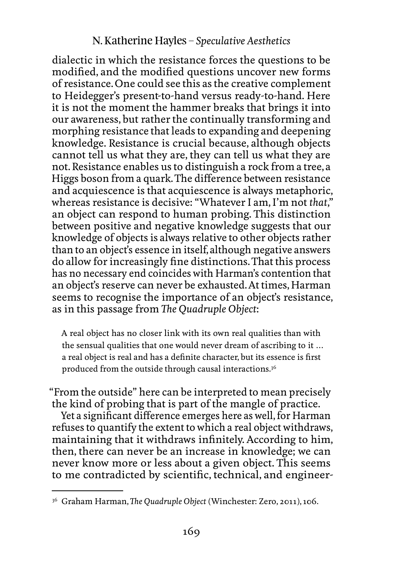dialectic in which the resistance forces the questions to be modified, and the modified questions uncover new forms of resistance. One could see this as the creative complement to Heidegger's present-to-hand versus ready-to-hand. Here it is not the moment the hammer breaks that brings it into our awareness, but rather the continually transforming and morphing resistance that leads to expanding and deepening knowledge. Resistance is crucial because, although objects cannot tell us what they are, they can tell us what they are not. Resistance enables us to distinguish a rock from a tree, a Higgs boson from a quark. The difference between resistance and acquiescence is that acquiescence is always metaphoric, whereas resistance is decisive: "Whatever I am, I'm not *that*," an object can respond to human probing. This distinction between positive and negative knowledge suggests that our knowledge of objects is always relative to other objects rather than to an object's essence in itself, although negative answers do allow for increasingly fine distinctions. That this process has no necessary end coincides with Harman's contention that an object's reserve can never be exhausted. At times, Harman seems to recognise the importance of an object's resistance, as in this passage from *The Quadruple Object*:

A real object has no closer link with its own real qualities than with the sensual qualities that one would never dream of ascribing to it … a real object is real and has a definite character, but its essence is first produced from the outside through causal interactions.36

"From the outside" here can be interpreted to mean precisely the kind of probing that is part of the mangle of practice.

Yet a significant difference emerges here as well, for Harman refuses to quantify the extent to which a real object withdraws, maintaining that it withdraws infinitely. According to him, then, there can never be an increase in knowledge; we can never know more or less about a given object. This seems to me contradicted by scientific, technical, and engineer-

<sup>36</sup> Graham Harman, *The Quadruple Object* (Winchester: Zero, 2011), 106.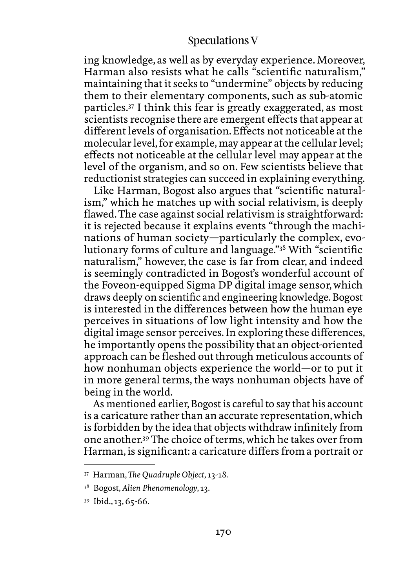ing knowledge, as well as by everyday experience. Moreover, Harman also resists what he calls "scientific naturalism," maintaining that it seeks to "undermine" objects by reducing them to their elementary components, such as sub-atomic particles.37 I think this fear is greatly exaggerated, as most scientists recognise there are emergent effects that appear at different levels of organisation. Effects not noticeable at the molecular level, for example, may appear at the cellular level; effects not noticeable at the cellular level may appear at the level of the organism, and so on. Few scientists believe that reductionist strategies can succeed in explaining everything.

Like Harman, Bogost also argues that "scientific naturalism," which he matches up with social relativism, is deeply flawed. The case against social relativism is straightforward: it is rejected because it explains events "through the machinations of human society—particularly the complex, evolutionary forms of culture and language."38 With "scientific naturalism," however, the case is far from clear, and indeed is seemingly contradicted in Bogost's wonderful account of the Foveon-equipped Sigma DP digital image sensor, which draws deeply on scientific and engineering knowledge. Bogost is interested in the differences between how the human eye perceives in situations of low light intensity and how the digital image sensor perceives. In exploring these differences, he importantly opens the possibility that an object-oriented approach can be fleshed out through meticulous accounts of how nonhuman objects experience the world—or to put it in more general terms, the ways nonhuman objects have of being in the world.

As mentioned earlier, Bogost is careful to say that his account is a caricature rather than an accurate representation, which is forbidden by the idea that objects withdraw infinitely from one another.39 The choice of terms, which he takes over from Harman, is significant: a caricature differs from a portrait or

<sup>37</sup> Harman, *The Quadruple Object*, 13-18.

<sup>38</sup> Bogost, *Alien Phenomenology*, 13.

<sup>39</sup> Ibid., 13, 65-66.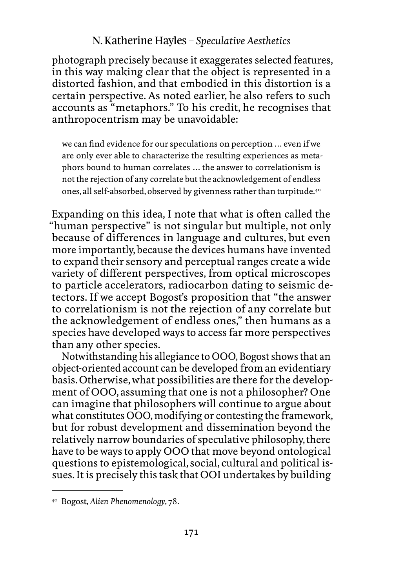photograph precisely because it exaggerates selected features, in this way making clear that the object is represented in a distorted fashion, and that embodied in this distortion is a certain perspective. As noted earlier, he also refers to such accounts as "metaphors." To his credit, he recognises that anthropocentrism may be unavoidable:

we can find evidence for our speculations on perception … even if we are only ever able to characterize the resulting experiences as metaphors bound to human correlates … the answer to correlationism is not the rejection of any correlate but the acknowledgement of endless ones, all self-absorbed, observed by givenness rather than turpitude.40

Expanding on this idea, I note that what is often called the "human perspective" is not singular but multiple, not only because of differences in language and cultures, but even more importantly, because the devices humans have invented to expand their sensory and perceptual ranges create a wide variety of different perspectives, from optical microscopes to particle accelerators, radiocarbon dating to seismic detectors. If we accept Bogost's proposition that "the answer to correlationism is not the rejection of any correlate but the acknowledgement of endless ones," then humans as a species have developed ways to access far more perspectives than any other species.

Notwithstanding his allegiance to OOO, Bogost shows that an object-oriented account can be developed from an evidentiary basis. Otherwise, what possibilities are there for the development of OOO, assuming that one is not a philosopher? One can imagine that philosophers will continue to argue about what constitutes OOO, modifying or contesting the framework, but for robust development and dissemination beyond the relatively narrow boundaries of speculative philosophy, there have to be ways to apply OOO that move beyond ontological questions to epistemological, social, cultural and political issues. It is precisely this task that OOI undertakes by building

<sup>40</sup> Bogost, *Alien Phenomenology*, 78.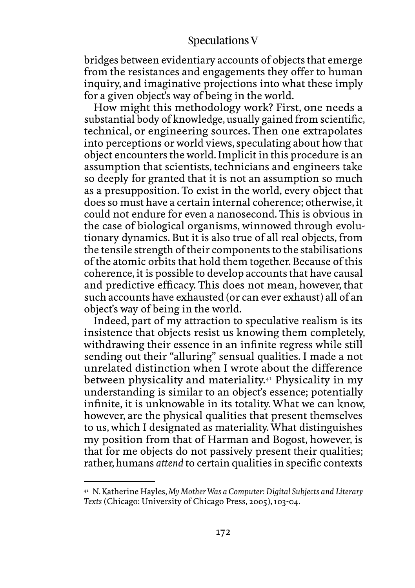bridges between evidentiary accounts of objects that emerge from the resistances and engagements they offer to human inquiry, and imaginative projections into what these imply for a given object's way of being in the world.

How might this methodology work? First, one needs a substantial body of knowledge, usually gained from scientific, technical, or engineering sources. Then one extrapolates into perceptions or world views, speculating about how that object encounters the world. Implicit in this procedure is an assumption that scientists, technicians and engineers take so deeply for granted that it is not an assumption so much as a presupposition. To exist in the world, every object that does so must have a certain internal coherence; otherwise, it could not endure for even a nanosecond. This is obvious in the case of biological organisms, winnowed through evolutionary dynamics. But it is also true of all real objects, from the tensile strength of their components to the stabilisations of the atomic orbits that hold them together. Because of this coherence, it is possible to develop accounts that have causal and predictive efficacy. This does not mean, however, that such accounts have exhausted (or can ever exhaust) all of an object's way of being in the world.

Indeed, part of my attraction to speculative realism is its insistence that objects resist us knowing them completely, withdrawing their essence in an infinite regress while still sending out their "alluring" sensual qualities. I made a not unrelated distinction when I wrote about the difference between physicality and materiality.41 Physicality in my understanding is similar to an object's essence; potentially infinite, it is unknowable in its totality. What we can know, however, are the physical qualities that present themselves to us, which I designated as materiality. What distinguishes my position from that of Harman and Bogost, however, is that for me objects do not passively present their qualities; rather, humans *attend* to certain qualities in specific contexts

<sup>41</sup> N. Katherine Hayles, *My Mother Was a Computer: Digital Subjects and Literary Texts* (Chicago: University of Chicago Press, 2005), 103-04.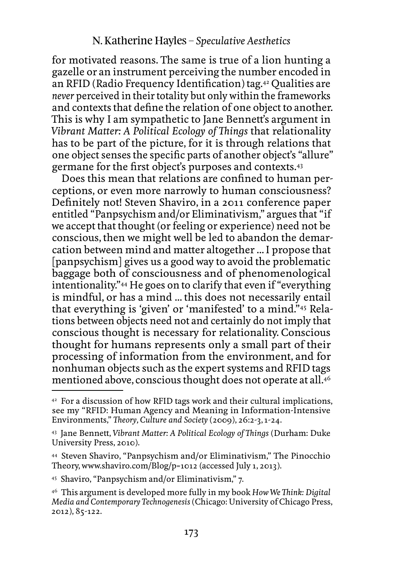for motivated reasons. The same is true of a lion hunting a gazelle or an instrument perceiving the number encoded in an RFID (Radio Frequency Identification) tag.42 Qualities are *never* perceived in their totality but only within the frameworks and contexts that define the relation of one object to another. This is why I am sympathetic to Jane Bennett's argument in *Vibrant Matter: A Political Ecology of Things* that relationality has to be part of the picture, for it is through relations that one object senses the specific parts of another object's "allure" germane for the first object's purposes and contexts.43

Does this mean that relations are confined to human perceptions, or even more narrowly to human consciousness? Definitely not! Steven Shaviro, in a 2011 conference paper entitled "Panpsychism and/or Eliminativism," argues that "if we accept that thought (or feeling or experience) need not be conscious, then we might well be led to abandon the demarcation between mind and matter altogether ... I propose that [panpsychism] gives us a good way to avoid the problematic baggage both of consciousness and of phenomenological intentionality."44 He goes on to clarify that even if "everything is mindful, or has a mind ... this does not necessarily entail that everything is 'given' or 'manifested' to a mind."45 Relations between objects need not and certainly do not imply that conscious thought is necessary for relationality. Conscious thought for humans represents only a small part of their processing of information from the environment, and for nonhuman objects such as the expert systems and RFID tags mentioned above, conscious thought does not operate at all.<sup>46</sup>

<sup>42</sup> For a discussion of how RFID tags work and their cultural implications, see my "RFID: Human Agency and Meaning in Information-Intensive Environments," *Theory, Culture and Society* (2009), 26:2-3, 1-24.

<sup>43</sup> Jane Bennett, *Vibrant Matter: A Political Ecology of Things* (Durham: Duke University Press, 2010).

<sup>44</sup> Steven Shaviro, "Panpsychism and/or Eliminativism," The Pinocchio Theory, <www.shaviro.com/Blog>/p=1012 (accessed July 1, 2013).

<sup>45</sup> Shaviro, "Panpsychism and/or Eliminativism," 7.

<sup>46</sup> This argument is developed more fully in my book *How We Think: Digital Media and Contemporary Technogenesis* (Chicago: University of Chicago Press, 2012), 85-122.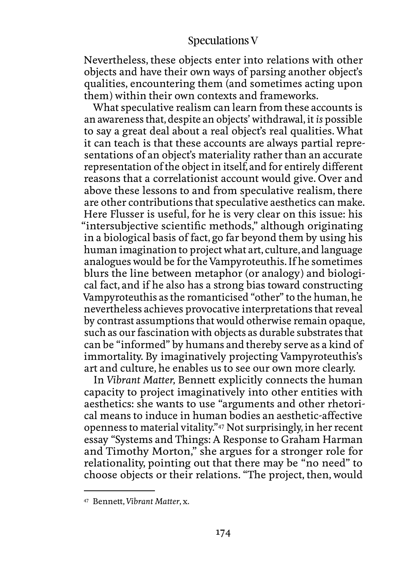Nevertheless, these objects enter into relations with other objects and have their own ways of parsing another object's qualities, encountering them (and sometimes acting upon them) within their own contexts and frameworks.

What speculative realism can learn from these accounts is an awareness that, despite an objects' withdrawal, it *is* possible to say a great deal about a real object's real qualities. What it can teach is that these accounts are always partial representations of an object's materiality rather than an accurate representation of the object in itself, and for entirely different reasons that a correlationist account would give. Over and above these lessons to and from speculative realism, there are other contributions that speculative aesthetics can make. Here Flusser is useful, for he is very clear on this issue: his "intersubjective scientific methods," although originating in a biological basis of fact, go far beyond them by using his human imagination to project what art, culture, and language analogues would be for the Vampyroteuthis. If he sometimes blurs the line between metaphor (or analogy) and biological fact, and if he also has a strong bias toward constructing Vampyroteuthis as the romanticised "other" to the human, he nevertheless achieves provocative interpretations that reveal by contrast assumptions that would otherwise remain opaque, such as our fascination with objects as durable substrates that can be "informed" by humans and thereby serve as a kind of immortality. By imaginatively projecting Vampyroteuthis's art and culture, he enables us to see our own more clearly.

In *Vibrant Matter,* Bennett explicitly connects the human capacity to project imaginatively into other entities with aesthetics: she wants to use "arguments and other rhetorical means to induce in human bodies an aesthetic-affective openness to material vitality."47 Not surprisingly, in her recent essay "Systems and Things: A Response to Graham Harman and Timothy Morton," she argues for a stronger role for relationality, pointing out that there may be "no need" to choose objects or their relations. "The project, then, would

<sup>47</sup> Bennett, *Vibrant Matter*, x.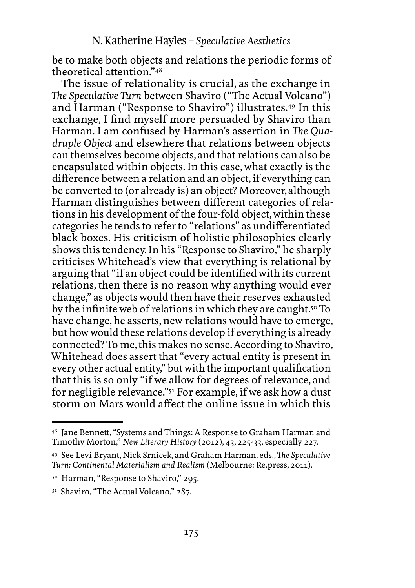be to make both objects and relations the periodic forms of theoretical attention."48

The issue of relationality is crucial, as the exchange in *The Speculative Turn* between Shaviro ("The Actual Volcano") and Harman ("Response to Shaviro") illustrates.49 In this exchange, I find myself more persuaded by Shaviro than Harman. I am confused by Harman's assertion in *The Quadruple Object* and elsewhere that relations between objects can themselves become objects, and that relations can also be encapsulated within objects. In this case, what exactly is the difference between a relation and an object, if everything can be converted to (or already is) an object? Moreover, although Harman distinguishes between different categories of relations in his development of the four-fold object, within these categories he tends to refer to "relations" as undifferentiated black boxes. His criticism of holistic philosophies clearly shows this tendency. In his "Response to Shaviro," he sharply criticises Whitehead's view that everything is relational by arguing that "if an object could be identified with its current relations, then there is no reason why anything would ever change," as objects would then have their reserves exhausted by the infinite web of relations in which they are caught.<sup>50</sup> To have change, he asserts, new relations would have to emerge, but how would these relations develop if everything is already connected? To me, this makes no sense. According to Shaviro, Whitehead does assert that "every actual entity is present in every other actual entity," but with the important qualification that this is so only "if we allow for degrees of relevance, and for negligible relevance."51 For example, if we ask how a dust storm on Mars would affect the online issue in which this

<sup>48</sup> Jane Bennett, "Systems and Things: A Response to Graham Harman and Timothy Morton," *New Literary History* (2012), 43, 225-33, especially 227.

<sup>49</sup> See Levi Bryant, Nick Srnicek, and Graham Harman, eds., *The Speculative Turn: Continental Materialism and Realism* (Melbourne: [Re.press,](Re.press) 2011).

<sup>&</sup>lt;sup>50</sup> Harman, "Response to Shaviro," 295.

<sup>51</sup> Shaviro, "The Actual Volcano," 287.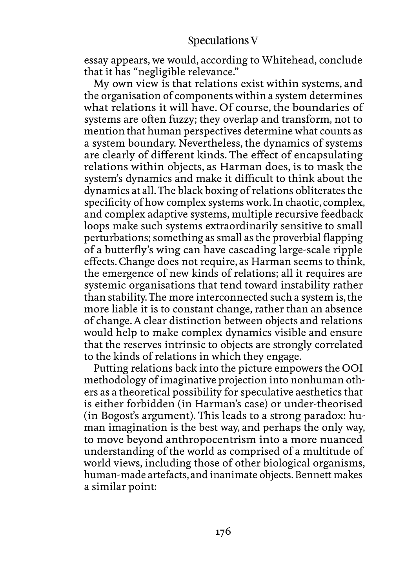essay appears, we would, according to Whitehead, conclude that it has "negligible relevance."

My own view is that relations exist within systems, and the organisation of components within a system determines what relations it will have. Of course, the boundaries of systems are often fuzzy; they overlap and transform, not to mention that human perspectives determine what counts as a system boundary. Nevertheless, the dynamics of systems are clearly of different kinds. The effect of encapsulating relations within objects, as Harman does, is to mask the system's dynamics and make it difficult to think about the dynamics at all. The black boxing of relations obliterates the specificity of how complex systems work. In chaotic, complex, and complex adaptive systems, multiple recursive feedback loops make such systems extraordinarily sensitive to small perturbations; something as small as the proverbial flapping of a butterfly's wing can have cascading large-scale ripple effects. Change does not require, as Harman seems to think, the emergence of new kinds of relations; all it requires are systemic organisations that tend toward instability rather than stability. The more interconnected such a system is, the more liable it is to constant change, rather than an absence of change. A clear distinction between objects and relations would help to make complex dynamics visible and ensure that the reserves intrinsic to objects are strongly correlated to the kinds of relations in which they engage.

Putting relations back into the picture empowers the OOI methodology of imaginative projection into nonhuman others as a theoretical possibility for speculative aesthetics that is either forbidden (in Harman's case) or under-theorised (in Bogost's argument). This leads to a strong paradox: human imagination is the best way, and perhaps the only way, to move beyond anthropocentrism into a more nuanced understanding of the world as comprised of a multitude of world views, including those of other biological organisms, human-made artefacts, and inanimate objects. Bennett makes a similar point: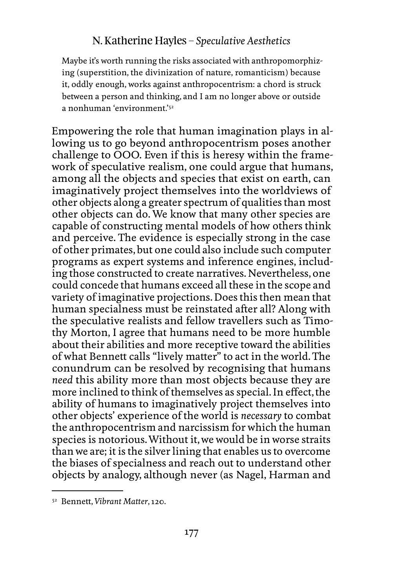Maybe it's worth running the risks associated with anthropomorphizing (superstition, the divinization of nature, romanticism) because it, oddly enough, works against anthropocentrism: a chord is struck between a person and thinking, and I am no longer above or outside a nonhuman 'environment'<sup>52</sup>

Empowering the role that human imagination plays in allowing us to go beyond anthropocentrism poses another challenge to OOO. Even if this is heresy within the framework of speculative realism, one could argue that humans, among all the objects and species that exist on earth, can imaginatively project themselves into the worldviews of other objects along a greater spectrum of qualities than most other objects can do. We know that many other species are capable of constructing mental models of how others think and perceive. The evidence is especially strong in the case of other primates, but one could also include such computer programs as expert systems and inference engines, including those constructed to create narratives. Nevertheless, one could concede that humans exceed all these in the scope and variety of imaginative projections. Does this then mean that human specialness must be reinstated after all? Along with the speculative realists and fellow travellers such as Timothy Morton, I agree that humans need to be more humble about their abilities and more receptive toward the abilities of what Bennett calls "lively matter" to act in the world. The conundrum can be resolved by recognising that humans *need* this ability more than most objects because they are more inclined to think of themselves as special. In effect, the ability of humans to imaginatively project themselves into other objects' experience of the world is *necessary* to combat the anthropocentrism and narcissism for which the human species is notorious. Without it, we would be in worse straits than we are; it is the silver lining that enables us to overcome the biases of specialness and reach out to understand other objects by analogy, although never (as Nagel, Harman and

<sup>52</sup> Bennett, *Vibrant Matter*, 120.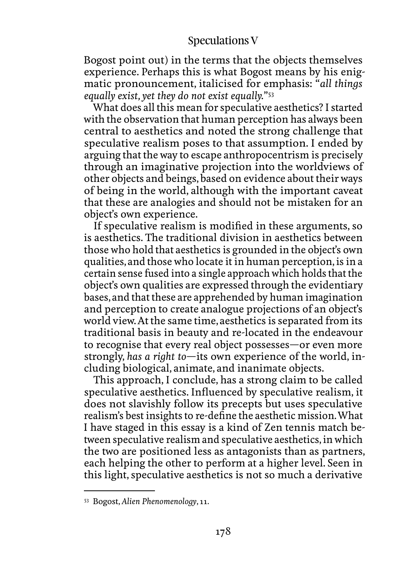Bogost point out) in the terms that the objects themselves experience. Perhaps this is what Bogost means by his enigmatic pronouncement, italicised for emphasis: "*all things equally exist, yet they do not exist equally.*"53

What does all this mean for speculative aesthetics? I started with the observation that human perception has always been central to aesthetics and noted the strong challenge that speculative realism poses to that assumption. I ended by arguing that the way to escape anthropocentrism is precisely through an imaginative projection into the worldviews of other objects and beings, based on evidence about their ways of being in the world, although with the important caveat that these are analogies and should not be mistaken for an object's own experience.

If speculative realism is modified in these arguments, so is aesthetics. The traditional division in aesthetics between those who hold that aesthetics is grounded in the object's own qualities, and those who locate it in human perception, is in a certain sense fused into a single approach which holds that the object's own qualities are expressed through the evidentiary bases, and that these are apprehended by human imagination and perception to create analogue projections of an object's world view. At the same time, aesthetics is separated from its traditional basis in beauty and re-located in the endeavour to recognise that every real object possesses—or even more strongly, *has a right to*—its own experience of the world, including biological, animate, and inanimate objects.

This approach, I conclude, has a strong claim to be called speculative aesthetics. Influenced by speculative realism, it does not slavishly follow its precepts but uses speculative realism's best insights to re-define the aesthetic mission. What I have staged in this essay is a kind of Zen tennis match between speculative realism and speculative aesthetics, in which the two are positioned less as antagonists than as partners, each helping the other to perform at a higher level. Seen in this light, speculative aesthetics is not so much a derivative

<sup>53</sup> Bogost, *Alien Phenomenology*, 11.